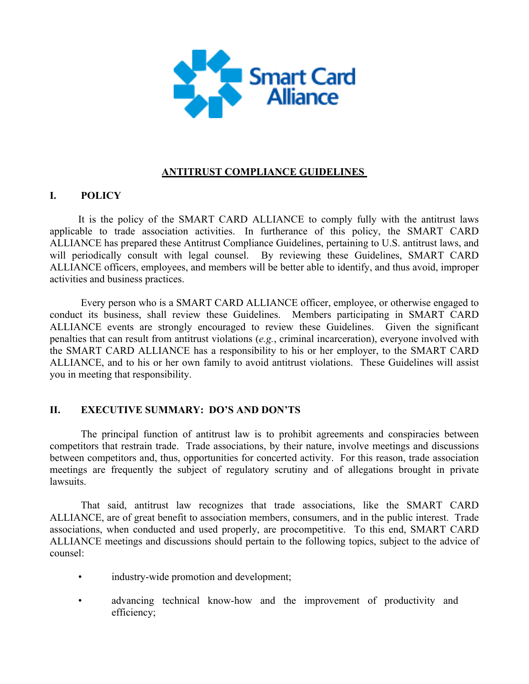

# **ANTITRUST COMPLIANCE GUIDELINES**

### **I. POLICY**

It is the policy of the SMART CARD ALLIANCE to comply fully with the antitrust laws applicable to trade association activities. In furtherance of this policy, the SMART CARD ALLIANCE has prepared these Antitrust Compliance Guidelines, pertaining to U.S. antitrust laws, and will periodically consult with legal counsel. By reviewing these Guidelines, SMART CARD ALLIANCE officers, employees, and members will be better able to identify, and thus avoid, improper activities and business practices.

 Every person who is a SMART CARD ALLIANCE officer, employee, or otherwise engaged to conduct its business, shall review these Guidelines. Members participating in SMART CARD ALLIANCE events are strongly encouraged to review these Guidelines. Given the significant penalties that can result from antitrust violations (*e.g.*, criminal incarceration), everyone involved with the SMART CARD ALLIANCE has a responsibility to his or her employer, to the SMART CARD ALLIANCE, and to his or her own family to avoid antitrust violations. These Guidelines will assist you in meeting that responsibility.

### **II. EXECUTIVE SUMMARY: DO'S AND DON'TS**

The principal function of antitrust law is to prohibit agreements and conspiracies between competitors that restrain trade. Trade associations, by their nature, involve meetings and discussions between competitors and, thus, opportunities for concerted activity. For this reason, trade association meetings are frequently the subject of regulatory scrutiny and of allegations brought in private **lawsuits** 

That said, antitrust law recognizes that trade associations, like the SMART CARD ALLIANCE, are of great benefit to association members, consumers, and in the public interest. Trade associations, when conducted and used properly, are procompetitive. To this end, SMART CARD ALLIANCE meetings and discussions should pertain to the following topics, subject to the advice of counsel:

- industry-wide promotion and development;
- advancing technical know-how and the improvement of productivity and efficiency;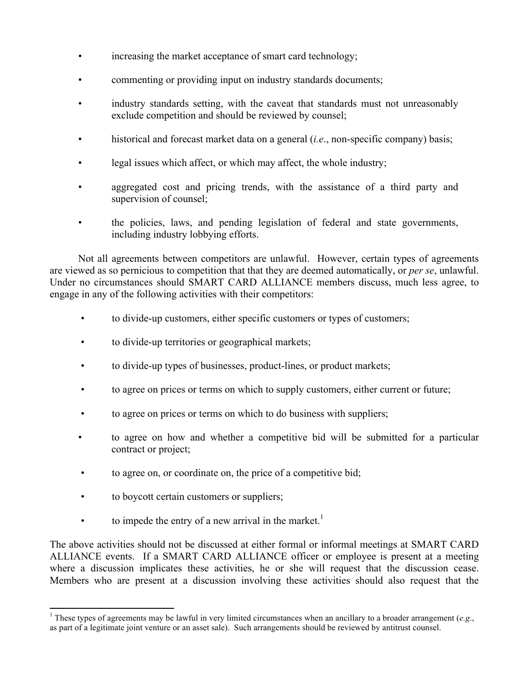- increasing the market acceptance of smart card technology;
- commenting or providing input on industry standards documents;
- industry standards setting, with the caveat that standards must not unreasonably exclude competition and should be reviewed by counsel;
- historical and forecast market data on a general *(i.e.*, non-specific company) basis;
- legal issues which affect, or which may affect, the whole industry;
- aggregated cost and pricing trends, with the assistance of a third party and supervision of counsel;
- the policies, laws, and pending legislation of federal and state governments, including industry lobbying efforts.

Not all agreements between competitors are unlawful. However, certain types of agreements are viewed as so pernicious to competition that that they are deemed automatically, or *per se*, unlawful. Under no circumstances should SMART CARD ALLIANCE members discuss, much less agree, to engage in any of the following activities with their competitors:

- to divide-up customers, either specific customers or types of customers;
- to divide-up territories or geographical markets;
- to divide-up types of businesses, product-lines, or product markets;
- to agree on prices or terms on which to supply customers, either current or future;
- to agree on prices or terms on which to do business with suppliers;
- to agree on how and whether a competitive bid will be submitted for a particular contract or project;
- to agree on, or coordinate on, the price of a competitive bid;
- to boycott certain customers or suppliers;

<u> 1989 - Johann Stein, marwolaethau a bh</u>

• to impede the entry of a new arrival in the market.<sup>1</sup>

The above activities should not be discussed at either formal or informal meetings at SMART CARD ALLIANCE events. If a SMART CARD ALLIANCE officer or employee is present at a meeting where a discussion implicates these activities, he or she will request that the discussion cease. Members who are present at a discussion involving these activities should also request that the

<sup>&</sup>lt;sup>1</sup> These types of agreements may be lawful in very limited circumstances when an ancillary to a broader arrangement (*e.g.*, as part of a legitimate joint venture or an asset sale). Such arrangements should be reviewed by antitrust counsel.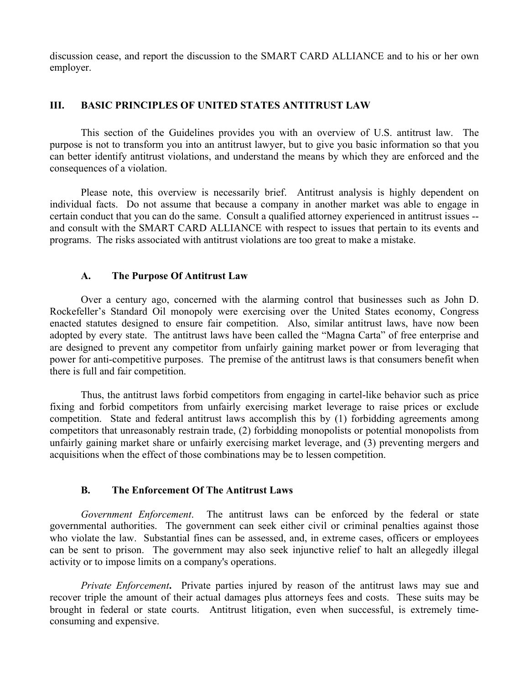discussion cease, and report the discussion to the SMART CARD ALLIANCE and to his or her own employer.

### **III. BASIC PRINCIPLES OF UNITED STATES ANTITRUST LAW**

This section of the Guidelines provides you with an overview of U.S. antitrust law. The purpose is not to transform you into an antitrust lawyer, but to give you basic information so that you can better identify antitrust violations, and understand the means by which they are enforced and the consequences of a violation.

Please note, this overview is necessarily brief. Antitrust analysis is highly dependent on individual facts. Do not assume that because a company in another market was able to engage in certain conduct that you can do the same. Consult a qualified attorney experienced in antitrust issues - and consult with the SMART CARD ALLIANCE with respect to issues that pertain to its events and programs. The risks associated with antitrust violations are too great to make a mistake.

## **A. The Purpose Of Antitrust Law**

Over a century ago, concerned with the alarming control that businesses such as John D. Rockefeller's Standard Oil monopoly were exercising over the United States economy, Congress enacted statutes designed to ensure fair competition. Also, similar antitrust laws, have now been adopted by every state. The antitrust laws have been called the "Magna Carta" of free enterprise and are designed to prevent any competitor from unfairly gaining market power or from leveraging that power for anti-competitive purposes. The premise of the antitrust laws is that consumers benefit when there is full and fair competition.

Thus, the antitrust laws forbid competitors from engaging in cartel-like behavior such as price fixing and forbid competitors from unfairly exercising market leverage to raise prices or exclude competition. State and federal antitrust laws accomplish this by (1) forbidding agreements among competitors that unreasonably restrain trade, (2) forbidding monopolists or potential monopolists from unfairly gaining market share or unfairly exercising market leverage, and (3) preventing mergers and acquisitions when the effect of those combinations may be to lessen competition.

# **B. The Enforcement Of The Antitrust Laws**

*Government Enforcement*. The antitrust laws can be enforced by the federal or state governmental authorities. The government can seek either civil or criminal penalties against those who violate the law. Substantial fines can be assessed, and, in extreme cases, officers or employees can be sent to prison. The government may also seek injunctive relief to halt an allegedly illegal activity or to impose limits on a company's operations.

*Private Enforcement***.** Private parties injured by reason of the antitrust laws may sue and recover triple the amount of their actual damages plus attorneys fees and costs. These suits may be brought in federal or state courts. Antitrust litigation, even when successful, is extremely timeconsuming and expensive.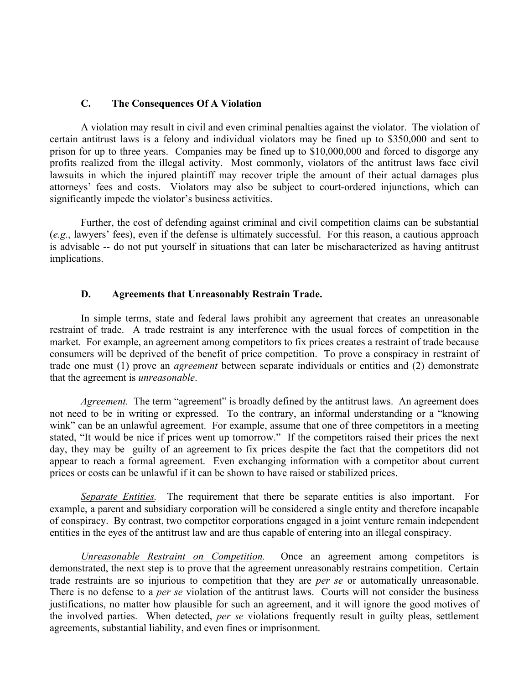#### **C. The Consequences Of A Violation**

A violation may result in civil and even criminal penalties against the violator. The violation of certain antitrust laws is a felony and individual violators may be fined up to \$350,000 and sent to prison for up to three years. Companies may be fined up to \$10,000,000 and forced to disgorge any profits realized from the illegal activity. Most commonly, violators of the antitrust laws face civil lawsuits in which the injured plaintiff may recover triple the amount of their actual damages plus attorneys' fees and costs. Violators may also be subject to court-ordered injunctions, which can significantly impede the violator's business activities.

Further, the cost of defending against criminal and civil competition claims can be substantial (*e.g.*, lawyers' fees), even if the defense is ultimately successful. For this reason, a cautious approach is advisable -- do not put yourself in situations that can later be mischaracterized as having antitrust implications.

#### **D. Agreements that Unreasonably Restrain Trade.**

In simple terms, state and federal laws prohibit any agreement that creates an unreasonable restraint of trade. A trade restraint is any interference with the usual forces of competition in the market. For example, an agreement among competitors to fix prices creates a restraint of trade because consumers will be deprived of the benefit of price competition. To prove a conspiracy in restraint of trade one must (1) prove an *agreement* between separate individuals or entities and (2) demonstrate that the agreement is *unreasonable*.

*Agreement*. The term "agreement" is broadly defined by the antitrust laws. An agreement does not need to be in writing or expressed. To the contrary, an informal understanding or a "knowing wink" can be an unlawful agreement. For example, assume that one of three competitors in a meeting stated, "It would be nice if prices went up tomorrow." If the competitors raised their prices the next day, they may be guilty of an agreement to fix prices despite the fact that the competitors did not appear to reach a formal agreement. Even exchanging information with a competitor about current prices or costs can be unlawful if it can be shown to have raised or stabilized prices.

*Separate Entities.* The requirement that there be separate entities is also important. For example, a parent and subsidiary corporation will be considered a single entity and therefore incapable of conspiracy. By contrast, two competitor corporations engaged in a joint venture remain independent entities in the eyes of the antitrust law and are thus capable of entering into an illegal conspiracy.

*Unreasonable Restraint on Competition.* Once an agreement among competitors is demonstrated, the next step is to prove that the agreement unreasonably restrains competition. Certain trade restraints are so injurious to competition that they are *per se* or automatically unreasonable. There is no defense to a *per se* violation of the antitrust laws. Courts will not consider the business justifications, no matter how plausible for such an agreement, and it will ignore the good motives of the involved parties. When detected, *per se* violations frequently result in guilty pleas, settlement agreements, substantial liability, and even fines or imprisonment.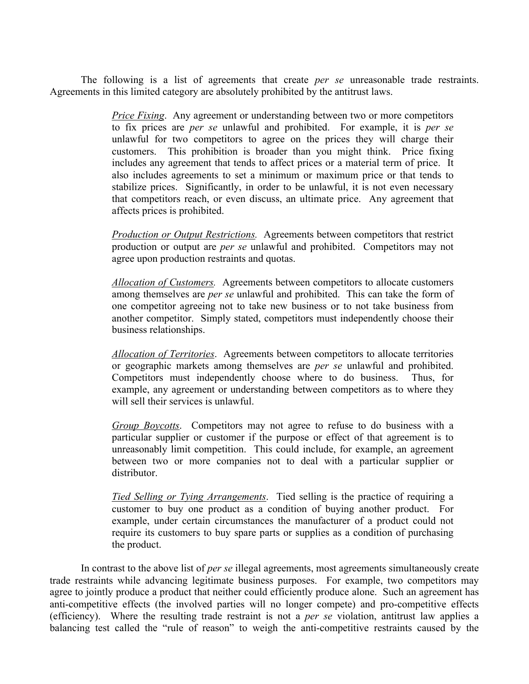The following is a list of agreements that create *per se* unreasonable trade restraints. Agreements in this limited category are absolutely prohibited by the antitrust laws.

> *Price Fixing.* Any agreement or understanding between two or more competitors to fix prices are *per se* unlawful and prohibited. For example, it is *per se* unlawful for two competitors to agree on the prices they will charge their customers. This prohibition is broader than you might think. Price fixing includes any agreement that tends to affect prices or a material term of price. It also includes agreements to set a minimum or maximum price or that tends to stabilize prices. Significantly, in order to be unlawful, it is not even necessary that competitors reach, or even discuss, an ultimate price. Any agreement that affects prices is prohibited.

> *Production or Output Restrictions.* Agreements between competitors that restrict production or output are *per se* unlawful and prohibited. Competitors may not agree upon production restraints and quotas.

> *Allocation of Customers.* Agreements between competitors to allocate customers among themselves are *per se* unlawful and prohibited. This can take the form of one competitor agreeing not to take new business or to not take business from another competitor. Simply stated, competitors must independently choose their business relationships.

> *Allocation of Territories*. Agreements between competitors to allocate territories or geographic markets among themselves are *per se* unlawful and prohibited. Competitors must independently choose where to do business. Thus, for example, any agreement or understanding between competitors as to where they will sell their services is unlawful.

> *Group Boycotts*. Competitors may not agree to refuse to do business with a particular supplier or customer if the purpose or effect of that agreement is to unreasonably limit competition. This could include, for example, an agreement between two or more companies not to deal with a particular supplier or distributor.

> *Tied Selling or Tying Arrangements*. Tied selling is the practice of requiring a customer to buy one product as a condition of buying another product. For example, under certain circumstances the manufacturer of a product could not require its customers to buy spare parts or supplies as a condition of purchasing the product.

In contrast to the above list of *per se* illegal agreements, most agreements simultaneously create trade restraints while advancing legitimate business purposes. For example, two competitors may agree to jointly produce a product that neither could efficiently produce alone. Such an agreement has anti-competitive effects (the involved parties will no longer compete) and pro-competitive effects (efficiency). Where the resulting trade restraint is not a *per se* violation, antitrust law applies a balancing test called the "rule of reason" to weigh the anti-competitive restraints caused by the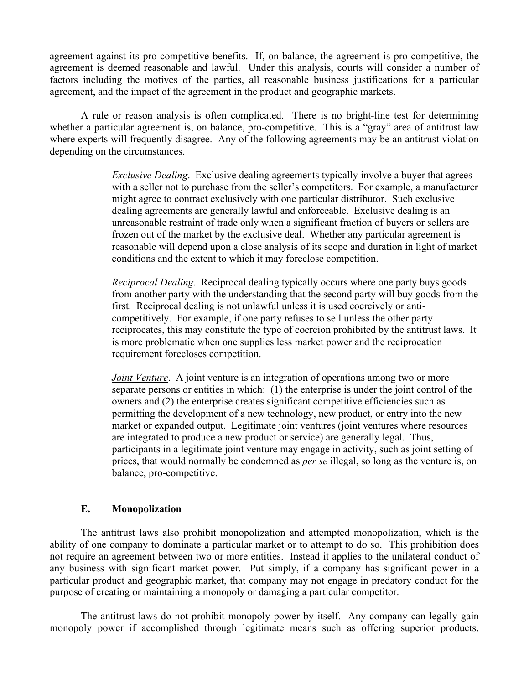agreement against its pro-competitive benefits. If, on balance, the agreement is pro-competitive, the agreement is deemed reasonable and lawful. Under this analysis, courts will consider a number of factors including the motives of the parties, all reasonable business justifications for a particular agreement, and the impact of the agreement in the product and geographic markets.

A rule or reason analysis is often complicated. There is no bright-line test for determining whether a particular agreement is, on balance, pro-competitive. This is a "gray" area of antitrust law where experts will frequently disagree. Any of the following agreements may be an antitrust violation depending on the circumstances.

> *Exclusive Dealing.* Exclusive dealing agreements typically involve a buyer that agrees with a seller not to purchase from the seller's competitors. For example, a manufacturer might agree to contract exclusively with one particular distributor. Such exclusive dealing agreements are generally lawful and enforceable. Exclusive dealing is an unreasonable restraint of trade only when a significant fraction of buyers or sellers are frozen out of the market by the exclusive deal. Whether any particular agreement is reasonable will depend upon a close analysis of its scope and duration in light of market conditions and the extent to which it may foreclose competition.

> *Reciprocal Dealing*. Reciprocal dealing typically occurs where one party buys goods from another party with the understanding that the second party will buy goods from the first. Reciprocal dealing is not unlawful unless it is used coercively or anticompetitively. For example, if one party refuses to sell unless the other party reciprocates, this may constitute the type of coercion prohibited by the antitrust laws. It is more problematic when one supplies less market power and the reciprocation requirement forecloses competition.

> *Joint Venture.* A joint venture is an integration of operations among two or more separate persons or entities in which: (1) the enterprise is under the joint control of the owners and (2) the enterprise creates significant competitive efficiencies such as permitting the development of a new technology, new product, or entry into the new market or expanded output. Legitimate joint ventures (joint ventures where resources are integrated to produce a new product or service) are generally legal. Thus, participants in a legitimate joint venture may engage in activity, such as joint setting of prices, that would normally be condemned as *per se* illegal, so long as the venture is, on balance, pro-competitive.

### **E. Monopolization**

The antitrust laws also prohibit monopolization and attempted monopolization, which is the ability of one company to dominate a particular market or to attempt to do so. This prohibition does not require an agreement between two or more entities. Instead it applies to the unilateral conduct of any business with significant market power. Put simply, if a company has significant power in a particular product and geographic market, that company may not engage in predatory conduct for the purpose of creating or maintaining a monopoly or damaging a particular competitor.

The antitrust laws do not prohibit monopoly power by itself. Any company can legally gain monopoly power if accomplished through legitimate means such as offering superior products,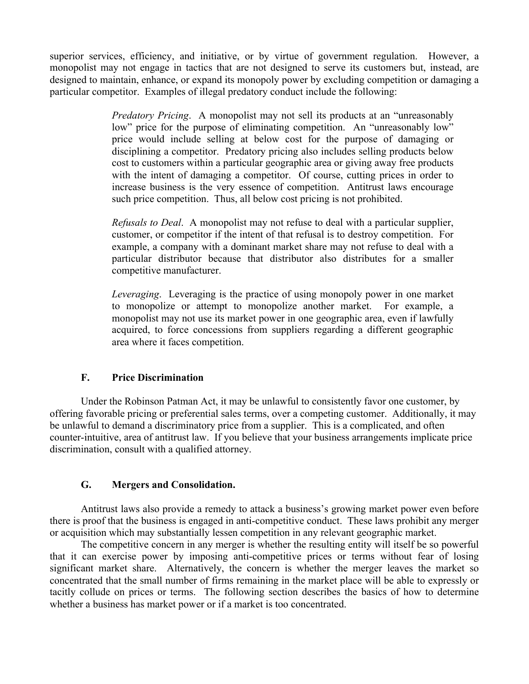superior services, efficiency, and initiative, or by virtue of government regulation. However, a monopolist may not engage in tactics that are not designed to serve its customers but, instead, are designed to maintain, enhance, or expand its monopoly power by excluding competition or damaging a particular competitor. Examples of illegal predatory conduct include the following:

> *Predatory Pricing*. A monopolist may not sell its products at an "unreasonably low" price for the purpose of eliminating competition. An "unreasonably low" price would include selling at below cost for the purpose of damaging or disciplining a competitor. Predatory pricing also includes selling products below cost to customers within a particular geographic area or giving away free products with the intent of damaging a competitor. Of course, cutting prices in order to increase business is the very essence of competition. Antitrust laws encourage such price competition. Thus, all below cost pricing is not prohibited.

> *Refusals to Deal*. A monopolist may not refuse to deal with a particular supplier, customer, or competitor if the intent of that refusal is to destroy competition. For example, a company with a dominant market share may not refuse to deal with a particular distributor because that distributor also distributes for a smaller competitive manufacturer.

> *Leveraging*. Leveraging is the practice of using monopoly power in one market to monopolize or attempt to monopolize another market. For example, a monopolist may not use its market power in one geographic area, even if lawfully acquired, to force concessions from suppliers regarding a different geographic area where it faces competition.

# **F. Price Discrimination**

Under the Robinson Patman Act, it may be unlawful to consistently favor one customer, by offering favorable pricing or preferential sales terms, over a competing customer. Additionally, it may be unlawful to demand a discriminatory price from a supplier. This is a complicated, and often counter-intuitive, area of antitrust law. If you believe that your business arrangements implicate price discrimination, consult with a qualified attorney.

# **G. Mergers and Consolidation.**

Antitrust laws also provide a remedy to attack a business's growing market power even before there is proof that the business is engaged in anti-competitive conduct. These laws prohibit any merger or acquisition which may substantially lessen competition in any relevant geographic market.

The competitive concern in any merger is whether the resulting entity will itself be so powerful that it can exercise power by imposing anti-competitive prices or terms without fear of losing significant market share. Alternatively, the concern is whether the merger leaves the market so concentrated that the small number of firms remaining in the market place will be able to expressly or tacitly collude on prices or terms. The following section describes the basics of how to determine whether a business has market power or if a market is too concentrated.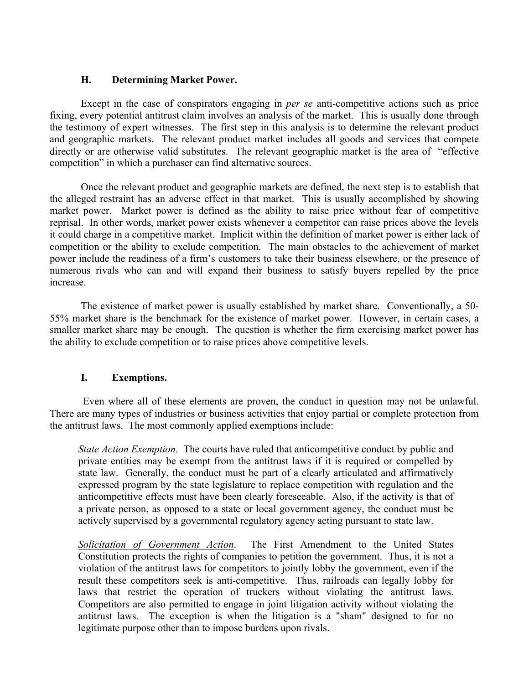## **H. Determining Market Power.**

Except in the case of conspirators engaging in *per se* anti-competitive actions such as price fixing, every potential antitrust claim involves an analysis of the market. This is usually done through the testimony of expert witnesses. The first step in this analysis is to determine the relevant product and geographic markets. The relevant product market includes all goods and services that compete directly or are otherwise valid substitutes. The relevant geographic market is the area of "effective competition" in which a purchaser can find alternative sources.

Once the relevant product and geographic markets are defined, the next step is to establish that the alleged restraint has an adverse effect in that market. This is usually accomplished by showing market power. Market power is defined as the ability to raise price without fear of competitive reprisal. In other words, market power exists whenever a competitor can raise prices above the levels it could charge in a competitive market. Implicit within the definition of market power is either lack of competition or the ability to exclude competition. The main obstacles to the achievement of market power include the readiness of a firm's customers to take their business elsewhere, or the presence of numerous rivals who can and will expand their business to satisfy buyers repelled by the price increase.

The existence of market power is usually established by market share. Conventionally, a 50- 55% market share is the benchmark for the existence of market power. However, in certain cases, a smaller market share may be enough. The question is whether the firm exercising market power has the ability to exclude competition or to raise prices above competitive levels.

# **I. Exemptions.**

Even where all of these elements are proven, the conduct in question may not be unlawful. There are many types of industries or business activities that enjoy partial or complete protection from the antitrust laws. The most commonly applied exemptions include:

*State Action Exemption*. The courts have ruled that anticompetitive conduct by public and private entities may be exempt from the antitrust laws if it is required or compelled by state law. Generally, the conduct must be part of a clearly articulated and affirmatively expressed program by the state legislature to replace competition with regulation and the anticompetitive effects must have been clearly foreseeable. Also, if the activity is that of a private person, as opposed to a state or local government agency, the conduct must be actively supervised by a governmental regulatory agency acting pursuant to state law.

*Solicitation of Government Action*. The First Amendment to the United States Constitution protects the rights of companies to petition the government. Thus, it is not a violation of the antitrust laws for competitors to jointly lobby the government, even if the result these competitors seek is anti-competitive. Thus, railroads can legally lobby for laws that restrict the operation of truckers without violating the antitrust laws. Competitors are also permitted to engage in joint litigation activity without violating the antitrust laws. The exception is when the litigation is a "sham" designed to for no legitimate purpose other than to impose burdens upon rivals.